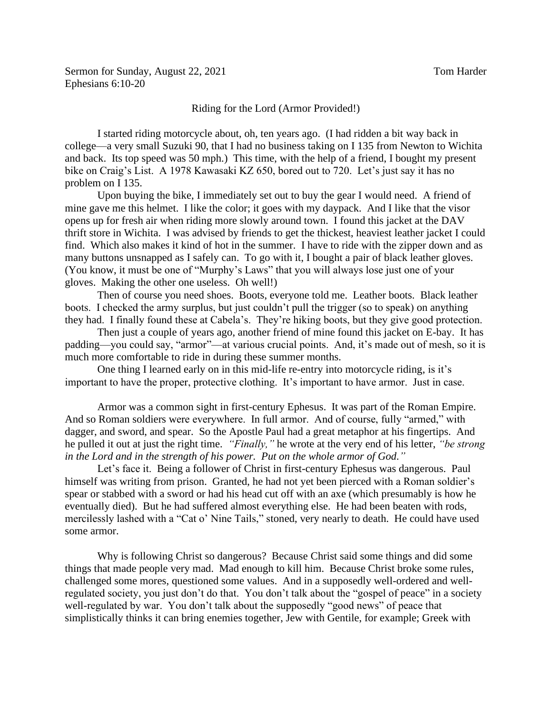I started riding motorcycle about, oh, ten years ago. (I had ridden a bit way back in college—a very small Suzuki 90, that I had no business taking on I 135 from Newton to Wichita and back. Its top speed was 50 mph.) This time, with the help of a friend, I bought my present bike on Craig's List. A 1978 Kawasaki KZ 650, bored out to 720. Let's just say it has no problem on I 135.

Upon buying the bike, I immediately set out to buy the gear I would need. A friend of mine gave me this helmet. I like the color; it goes with my daypack. And I like that the visor opens up for fresh air when riding more slowly around town. I found this jacket at the DAV thrift store in Wichita. I was advised by friends to get the thickest, heaviest leather jacket I could find. Which also makes it kind of hot in the summer. I have to ride with the zipper down and as many buttons unsnapped as I safely can. To go with it, I bought a pair of black leather gloves. (You know, it must be one of "Murphy's Laws" that you will always lose just one of your gloves. Making the other one useless. Oh well!)

Then of course you need shoes. Boots, everyone told me. Leather boots. Black leather boots. I checked the army surplus, but just couldn't pull the trigger (so to speak) on anything they had. I finally found these at Cabela's. They're hiking boots, but they give good protection.

Then just a couple of years ago, another friend of mine found this jacket on E-bay. It has padding—you could say, "armor"—at various crucial points. And, it's made out of mesh, so it is much more comfortable to ride in during these summer months.

One thing I learned early on in this mid-life re-entry into motorcycle riding, is it's important to have the proper, protective clothing. It's important to have armor. Just in case.

Armor was a common sight in first-century Ephesus. It was part of the Roman Empire. And so Roman soldiers were everywhere. In full armor. And of course, fully "armed," with dagger, and sword, and spear. So the Apostle Paul had a great metaphor at his fingertips. And he pulled it out at just the right time. *"Finally,"* he wrote at the very end of his letter, *"be strong in the Lord and in the strength of his power. Put on the whole armor of God."*

Let's face it. Being a follower of Christ in first-century Ephesus was dangerous. Paul himself was writing from prison. Granted, he had not yet been pierced with a Roman soldier's spear or stabbed with a sword or had his head cut off with an axe (which presumably is how he eventually died). But he had suffered almost everything else. He had been beaten with rods, mercilessly lashed with a "Cat o' Nine Tails," stoned, very nearly to death. He could have used some armor.

Why is following Christ so dangerous? Because Christ said some things and did some things that made people very mad. Mad enough to kill him. Because Christ broke some rules, challenged some mores, questioned some values. And in a supposedly well-ordered and wellregulated society, you just don't do that. You don't talk about the "gospel of peace" in a society well-regulated by war. You don't talk about the supposedly "good news" of peace that simplistically thinks it can bring enemies together, Jew with Gentile, for example; Greek with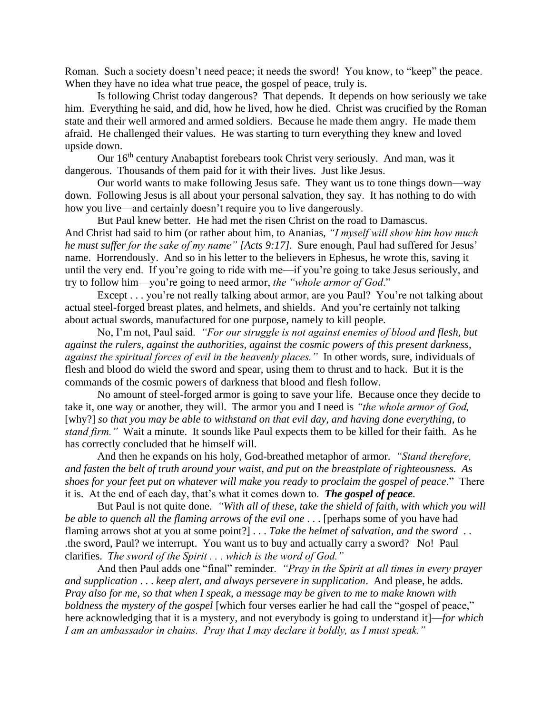Roman. Such a society doesn't need peace; it needs the sword! You know, to "keep" the peace. When they have no idea what true peace, the gospel of peace, truly is.

Is following Christ today dangerous? That depends. It depends on how seriously we take him. Everything he said, and did, how he lived, how he died. Christ was crucified by the Roman state and their well armored and armed soldiers. Because he made them angry. He made them afraid. He challenged their values. He was starting to turn everything they knew and loved upside down.

Our 16<sup>th</sup> century Anabaptist forebears took Christ very seriously. And man, was it dangerous. Thousands of them paid for it with their lives. Just like Jesus.

Our world wants to make following Jesus safe. They want us to tone things down—way down. Following Jesus is all about your personal salvation, they say. It has nothing to do with how you live—and certainly doesn't require you to live dangerously.

But Paul knew better. He had met the risen Christ on the road to Damascus. And Christ had said to him (or rather about him, to Ananias, *"I myself will show him how much he must suffer for the sake of my name" [Acts 9:17].* Sure enough, Paul had suffered for Jesus' name. Horrendously. And so in his letter to the believers in Ephesus, he wrote this, saving it until the very end. If you're going to ride with me—if you're going to take Jesus seriously, and try to follow him—you're going to need armor, *the "whole armor of God*."

Except . . . you're not really talking about armor, are you Paul? You're not talking about actual steel-forged breast plates, and helmets, and shields. And you're certainly not talking about actual swords, manufactured for one purpose, namely to kill people.

No, I'm not, Paul said. *"For our struggle is not against enemies of blood and flesh, but against the rulers, against the authorities, against the cosmic powers of this present darkness, against the spiritual forces of evil in the heavenly places."* In other words, sure, individuals of flesh and blood do wield the sword and spear, using them to thrust and to hack. But it is the commands of the cosmic powers of darkness that blood and flesh follow.

No amount of steel-forged armor is going to save your life. Because once they decide to take it, one way or another, they will. The armor you and I need is *"the whole armor of God,*  [why?] *so that you may be able to withstand on that evil day, and having done everything, to stand firm."* Wait a minute. It sounds like Paul expects them to be killed for their faith. As he has correctly concluded that he himself will.

And then he expands on his holy, God-breathed metaphor of armor. *"Stand therefore, and fasten the belt of truth around your waist, and put on the breastplate of righteousness. As shoes for your feet put on whatever will make you ready to proclaim the gospel of peace*." There it is. At the end of each day, that's what it comes down to. *The gospel of peace*.

But Paul is not quite done. *"With all of these, take the shield of faith, with which you will be able to quench all the flaming arrows of the evil one* . . . [perhaps some of you have had flaming arrows shot at you at some point?] . . . *Take the helmet of salvation, and the sword* . . .the sword, Paul? we interrupt. You want us to buy and actually carry a sword? No! Paul clarifies. *The sword of the Spirit . . . which is the word of God."*

And then Paul adds one "final" reminder. *"Pray in the Spirit at all times in every prayer and supplication* . . . *keep alert, and always persevere in supplication*. And please, he adds. *Pray also for me, so that when I speak, a message may be given to me to make known with boldness the mystery of the gospel* [which four verses earlier he had call the "gospel of peace," here acknowledging that it is a mystery, and not everybody is going to understand it]—*for which I am an ambassador in chains. Pray that I may declare it boldly, as I must speak."*